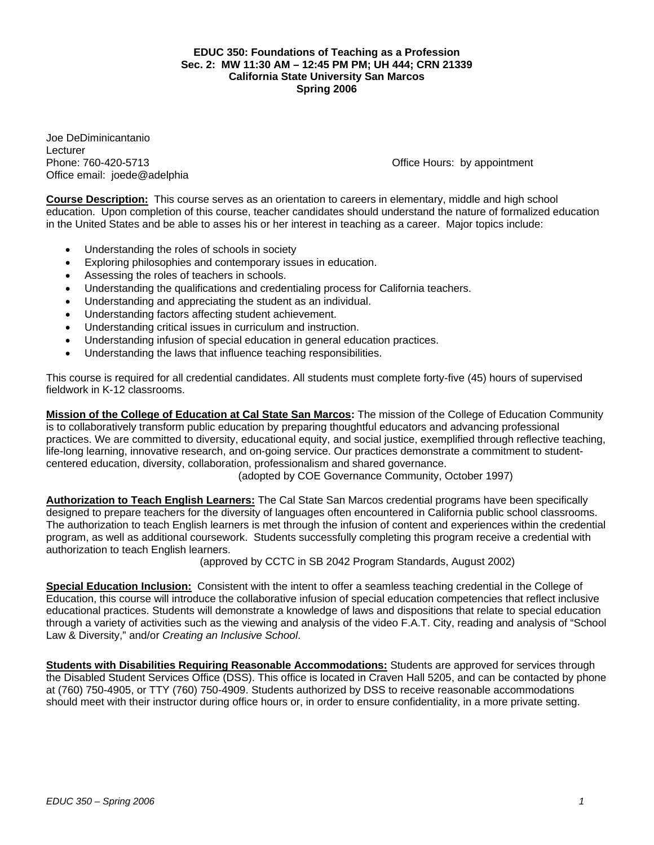### **EDUC 350: Foundations of Teaching as a Profession Sec. 2: MW 11:30 AM – 12:45 PM PM; UH 444; CRN 21339 California State University San Marcos Spring 2006**

Joe DeDiminicantanio Lecturer Office email: joede@adelphia

Phone: 760-420-5713 **Phone: 760-420-5713** Channel Business Channel Business Channel Business Channel Business Channel Business Channel Business Channel Business Channel Business Channel Business Channel Business Channel Bu

**Course Description:** This course serves as an orientation to careers in elementary, middle and high school education. Upon completion of this course, teacher candidates should understand the nature of formalized education in the United States and be able to asses his or her interest in teaching as a career. Major topics include:

- Understanding the roles of schools in society
- Exploring philosophies and contemporary issues in education.
- Assessing the roles of teachers in schools.
- Understanding the qualifications and credentialing process for California teachers.
- Understanding and appreciating the student as an individual.
- Understanding factors affecting student achievement.
- Understanding critical issues in curriculum and instruction.
- Understanding infusion of special education in general education practices.
- Understanding the laws that influence teaching responsibilities.

This course is required for all credential candidates. All students must complete forty-five (45) hours of supervised fieldwork in K-12 classrooms.

**Mission of the College of Education at Cal State San Marcos:** The mission of the College of Education Community is to collaboratively transform public education by preparing thoughtful educators and advancing professional practices. We are committed to diversity, educational equity, and social justice, exemplified through reflective teaching, life-long learning, innovative research, and on-going service. Our practices demonstrate a commitment to studentcentered education, diversity, collaboration, professionalism and shared governance.

(adopted by COE Governance Community, October 1997)

**Authorization to Teach English Learners:** The Cal State San Marcos credential programs have been specifically designed to prepare teachers for the diversity of languages often encountered in California public school classrooms. The authorization to teach English learners is met through the infusion of content and experiences within the credential program, as well as additional coursework. Students successfully completing this program receive a credential with authorization to teach English learners.

(approved by CCTC in SB 2042 Program Standards, August 2002)

**Special Education Inclusion:** Consistent with the intent to offer a seamless teaching credential in the College of Education, this course will introduce the collaborative infusion of special education competencies that reflect inclusive educational practices. Students will demonstrate a knowledge of laws and dispositions that relate to special education through a variety of activities such as the viewing and analysis of the video F.A.T. City, reading and analysis of "School Law & Diversity," and/or *Creating an Inclusive School*.

**Students with Disabilities Requiring Reasonable Accommodations:** Students are approved for services through the Disabled Student Services Office (DSS). This office is located in Craven Hall 5205, and can be contacted by phone at (760) 750-4905, or TTY (760) 750-4909. Students authorized by DSS to receive reasonable accommodations should meet with their instructor during office hours or, in order to ensure confidentiality, in a more private setting.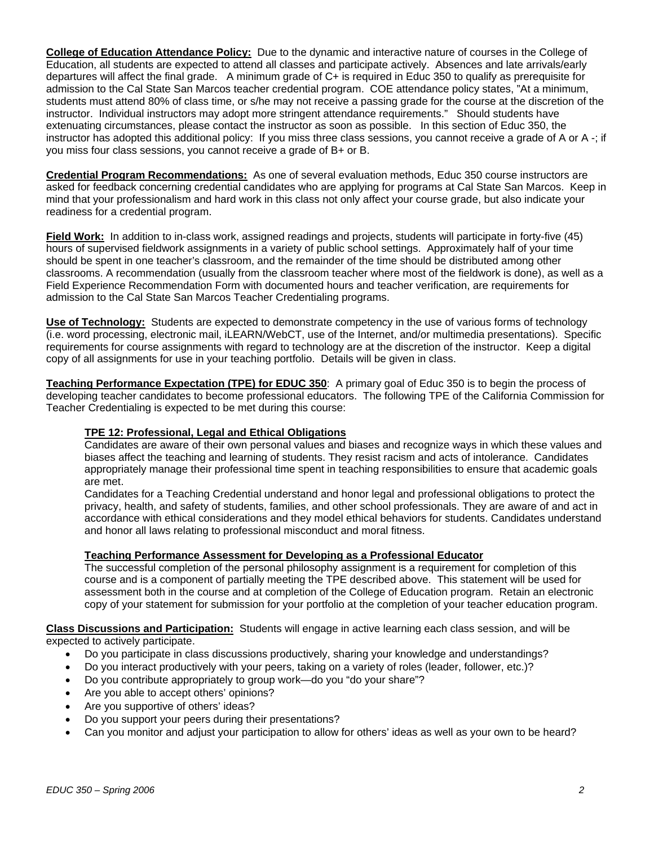**College of Education Attendance Policy:** Due to the dynamic and interactive nature of courses in the College of Education, all students are expected to attend all classes and participate actively. Absences and late arrivals/early departures will affect the final grade. A minimum grade of C+ is required in Educ 350 to qualify as prerequisite for admission to the Cal State San Marcos teacher credential program. COE attendance policy states, "At a minimum, students must attend 80% of class time, or s/he may not receive a passing grade for the course at the discretion of the instructor. Individual instructors may adopt more stringent attendance requirements." Should students have extenuating circumstances, please contact the instructor as soon as possible. In this section of Educ 350, the instructor has adopted this additional policy: If you miss three class sessions, you cannot receive a grade of A or A -; if you miss four class sessions, you cannot receive a grade of B+ or B.

**Credential Program Recommendations:** As one of several evaluation methods, Educ 350 course instructors are asked for feedback concerning credential candidates who are applying for programs at Cal State San Marcos. Keep in mind that your professionalism and hard work in this class not only affect your course grade, but also indicate your readiness for a credential program.

**Field Work:** In addition to in-class work, assigned readings and projects, students will participate in forty-five (45) hours of supervised fieldwork assignments in a variety of public school settings. Approximately half of your time should be spent in one teacher's classroom, and the remainder of the time should be distributed among other classrooms. A recommendation (usually from the classroom teacher where most of the fieldwork is done), as well as a Field Experience Recommendation Form with documented hours and teacher verification, are requirements for admission to the Cal State San Marcos Teacher Credentialing programs.

**Use of Technology:** Students are expected to demonstrate competency in the use of various forms of technology (i.e. word processing, electronic mail, iLEARN/WebCT, use of the Internet, and/or multimedia presentations). Specific requirements for course assignments with regard to technology are at the discretion of the instructor. Keep a digital copy of all assignments for use in your teaching portfolio. Details will be given in class.

**Teaching Performance Expectation (TPE) for EDUC 350**: A primary goal of Educ 350 is to begin the process of developing teacher candidates to become professional educators. The following TPE of the California Commission for Teacher Credentialing is expected to be met during this course:

### **TPE 12: Professional, Legal and Ethical Obligations**

Candidates are aware of their own personal values and biases and recognize ways in which these values and biases affect the teaching and learning of students. They resist racism and acts of intolerance. Candidates appropriately manage their professional time spent in teaching responsibilities to ensure that academic goals are met.

Candidates for a Teaching Credential understand and honor legal and professional obligations to protect the privacy, health, and safety of students, families, and other school professionals. They are aware of and act in accordance with ethical considerations and they model ethical behaviors for students. Candidates understand and honor all laws relating to professional misconduct and moral fitness.

### **Teaching Performance Assessment for Developing as a Professional Educator**

The successful completion of the personal philosophy assignment is a requirement for completion of this course and is a component of partially meeting the TPE described above. This statement will be used for assessment both in the course and at completion of the College of Education program. Retain an electronic copy of your statement for submission for your portfolio at the completion of your teacher education program.

**Class Discussions and Participation:** Students will engage in active learning each class session, and will be expected to actively participate.

- Do you participate in class discussions productively, sharing your knowledge and understandings?
- Do you interact productively with your peers, taking on a variety of roles (leader, follower, etc.)?
- Do you contribute appropriately to group work—do you "do your share"?
- Are you able to accept others' opinions?
- Are you supportive of others' ideas?
- Do you support your peers during their presentations?
- Can you monitor and adjust your participation to allow for others' ideas as well as your own to be heard?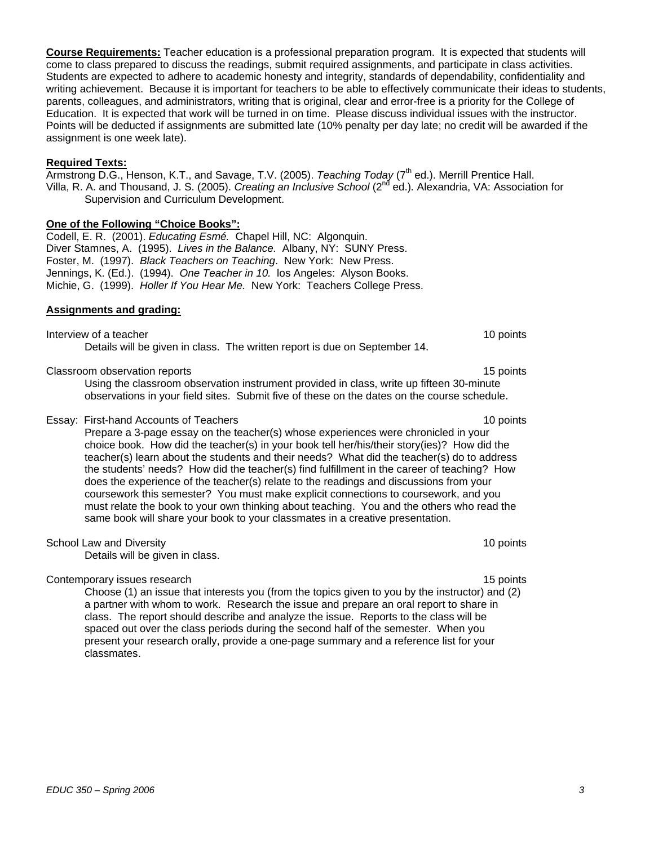**Course Requirements:** Teacher education is a professional preparation program. It is expected that students will come to class prepared to discuss the readings, submit required assignments, and participate in class activities. Students are expected to adhere to academic honesty and integrity, standards of dependability, confidentiality and writing achievement. Because it is important for teachers to be able to effectively communicate their ideas to students, parents, colleagues, and administrators, writing that is original, clear and error-free is a priority for the College of Education. It is expected that work will be turned in on time. Please discuss individual issues with the instructor. Points will be deducted if assignments are submitted late (10% penalty per day late; no credit will be awarded if the assignment is one week late).

#### **Required Texts:**

Armstrong D.G., Henson, K.T., and Savage, T.V. (2005). *Teaching Today* (7<sup>th</sup> ed.). Merrill Prentice Hall. Villa, R. A. and Thousand, J. S. (2005). *Creating an Inclusive School* (2nd ed.)*.* Alexandria, VA: Association for Supervision and Curriculum Development.

#### **One of the Following "Choice Books":**

Codell, E. R. (2001). *Educating Esmé.* Chapel Hill, NC: Algonquin. Diver Stamnes, A. (1995). *Lives in the Balance.* Albany, NY: SUNY Press. Foster, M. (1997). *Black Teachers on Teaching*. New York: New Press. Jennings, K. (Ed.). (1994). *One Teacher in 10.* los Angeles: Alyson Books. Michie, G. (1999). *Holler If You Hear Me.* New York: Teachers College Press.

#### **Assignments and grading:**

Interview of a teacher 10 points and the control of a teacher 10 points of a teacher 10 points of a teacher 10 points of the control of the control of the control of the control of the control of the control of the control Details will be given in class. The written report is due on September 14.

Classroom observation reports 15 points 15 points 15 points 15 points 15 points 15 points 15 points 15 points 15 points 15 points 15 points 15 points 15 points 15 points 15 points 15 points 15 points 15 points 15 points 15

Using the classroom observation instrument provided in class, write up fifteen 30-minute observations in your field sites. Submit five of these on the dates on the course schedule.

#### Essay: First-hand Accounts of Teachers 10 points

Prepare a 3-page essay on the teacher(s) whose experiences were chronicled in your choice book. How did the teacher(s) in your book tell her/his/their story(ies)? How did the teacher(s) learn about the students and their needs? What did the teacher(s) do to address the students' needs? How did the teacher(s) find fulfillment in the career of teaching? How does the experience of the teacher(s) relate to the readings and discussions from your coursework this semester? You must make explicit connections to coursework, and you must relate the book to your own thinking about teaching. You and the others who read the same book will share your book to your classmates in a creative presentation.

School Law and Diversity 10 points 10 points 10 points 10 points 10 points 10 points 10 points 10 points 10 points 10 points 10 points 10 points 10 points 10 points 10 points 10 points 10 points 10 points 10 points 10 poin

Details will be given in class.

Contemporary issues research 15 points and the contemporary issues research 15 points and 15 points of the contemporary issues research 15 points and 15 points of the contemporary issues research 15 points and 15 points of

Choose (1) an issue that interests you (from the topics given to you by the instructor) and (2) a partner with whom to work. Research the issue and prepare an oral report to share in class. The report should describe and analyze the issue. Reports to the class will be spaced out over the class periods during the second half of the semester. When you present your research orally, provide a one-page summary and a reference list for your classmates.